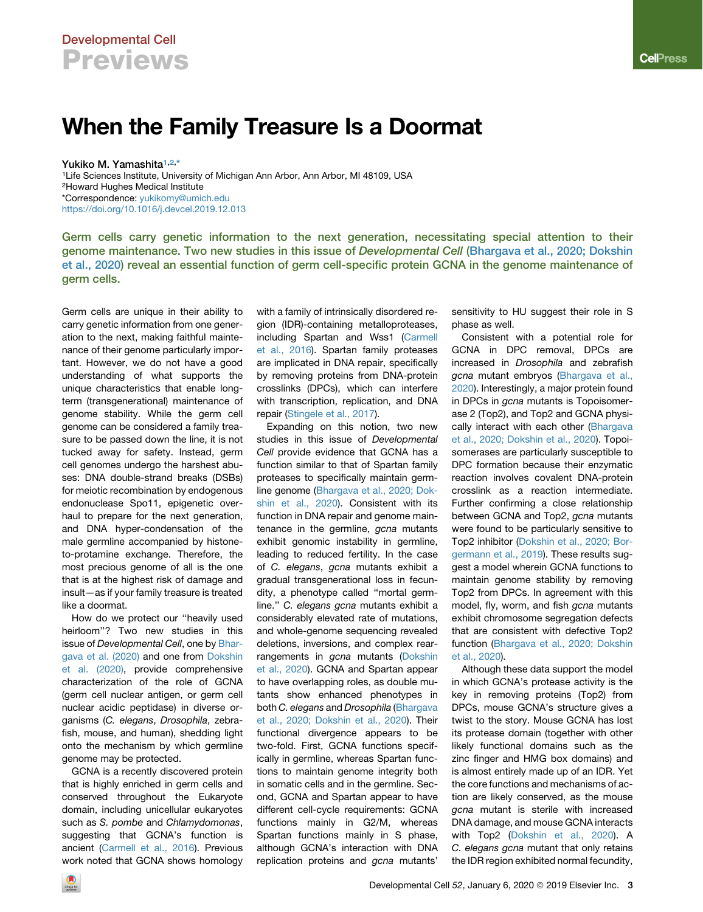## Developmental Cell **Previews**

## when the Family Treasure Is a Dominical

<span id="page-0-2"></span><span id="page-0-1"></span><span id="page-0-0"></span>Yukiko M. Yamashita<sup>[1,](#page-0-0)[2](#page-0-1),[\\*](#page-0-2)</sup> 1Life Sciences Institute, University of Michigan Ann Arbor, Ann Arbor, MI 48109, USA 2Howard Hughes Medical Institute \*Correspondence: [yukikomy@umich.edu](mailto:yukikomy@umich.edu) [https://doi.org/10.1016/j.devcel.2019.12.013](https://doi.org/10.1016/j.devcel.2019.12.012)

Germ cells carry genetic information to the next generation, necessitating special attention to their genome maintenance. Two new studies in this issue of Developmental Cell [\(Bhargava et al., 2020; Dokshin](#page-1-0) [et al., 2020\)](#page-1-0) reveal an essential function of germ cell-specific protein GCNA in the genome maintenance of germ cells.

Germ cells are unique in their ability to carry genetic information from one generation to the next, making faithful maintenance of their genome particularly important. However, we do not have a good understanding of what supports the unique characteristics that enable longterm (transgenerational) maintenance of genome stability. While the germ cell genome can be considered a family treasure to be passed down the line, it is not tucked away for safety. Instead, germ cell genomes undergo the harshest abuses: DNA double-strand breaks (DSBs) for meiotic recombination by endogenous endonuclease Spo11, epigenetic overhaul to prepare for the next generation, and DNA hyper-condensation of the male germline accompanied by histoneto-protamine exchange. Therefore, the most precious genome of all is the one that is at the highest risk of damage and insult—as if your family treasure is treated like a doormat.

How do we protect our ''heavily used heirloom''? Two new studies in this issue of *Developmental Cell*, one by [Bhar](#page-1-0)[gava et al. \(2020\)](#page-1-0) and one from [Dokshin](#page-1-1) [et al. \(2020\)](#page-1-1), provide comprehensive characterization of the role of GCNA (germ cell nuclear antigen, or germ cell nuclear acidic peptidase) in diverse organisms (*C. elegans*, *Drosophila*, zebrafish, mouse, and human), shedding light onto the mechanism by which germline genome may be protected.

GCNA is a recently discovered protein that is highly enriched in germ cells and conserved throughout the Eukaryote domain, including unicellular eukaryotes such as *S. pombe* and *Chlamydomonas*, suggesting that GCNA's function is ancient [\(Carmell et al., 2016\)](#page-1-2). Previous work noted that GCNA shows homology with a family of intrinsically disordered region (IDR)-containing metalloproteases, including Spartan and Wss1 ([Carmell](#page-1-2) [et al., 2016](#page-1-2)). Spartan family proteases are implicated in DNA repair, specifically by removing proteins from DNA-protein crosslinks (DPCs), which can interfere with transcription, replication, and DNA repair ([Stingele et al., 2017\)](#page-1-3).

Expanding on this notion, two new studies in this issue of *Developmental Cell* provide evidence that GCNA has a function similar to that of Spartan family proteases to specifically maintain germline genome ([Bhargava et al., 2020; Dok](#page-1-0)[shin et al., 2020\)](#page-1-0). Consistent with its function in DNA repair and genome maintenance in the germline, *gcna* mutants exhibit genomic instability in germline, leading to reduced fertility. In the case of *C. elegans*, *gcna* mutants exhibit a gradual transgenerational loss in fecundity, a phenotype called ''mortal germline.'' *C. elegans gcna* mutants exhibit a considerably elevated rate of mutations, and whole-genome sequencing revealed deletions, inversions, and complex rearrangements in *gcna* mutants [\(Dokshin](#page-1-1) [et al., 2020\)](#page-1-1). GCNA and Spartan appear to have overlapping roles, as double mutants show enhanced phenotypes in both *C. elegans* and *Drosophila* ([Bhargava](#page-1-0) [et al., 2020; Dokshin et al., 2020](#page-1-0)). Their functional divergence appears to be two-fold. First, GCNA functions specifically in germline, whereas Spartan functions to maintain genome integrity both in somatic cells and in the germline. Second, GCNA and Spartan appear to have different cell-cycle requirements: GCNA functions mainly in G2/M, whereas Spartan functions mainly in S phase, although GCNA's interaction with DNA replication proteins and *gcna* mutants'

sensitivity to HU suggest their role in S phase as well.

Consistent with a potential role for GCNA in DPC removal, DPCs are increased in *Drosophila* and zebrafish *gcna* mutant embryos [\(Bhargava et al.,](#page-1-0) [2020\)](#page-1-0). Interestingly, a major protein found in DPCs in *gcna* mutants is Topoisomerase 2 (Top2), and Top2 and GCNA physically interact with each other [\(Bhargava](#page-1-0) [et al., 2020; Dokshin et al., 2020](#page-1-0)). Topoisomerases are particularly susceptible to DPC formation because their enzymatic reaction involves covalent DNA-protein crosslink as a reaction intermediate. Further confirming a close relationship between GCNA and Top2, *gcna* mutants were found to be particularly sensitive to Top2 inhibitor [\(Dokshin et al., 2020; Bor](#page-1-1)[germann et al., 2019](#page-1-1)). These results suggest a model wherein GCNA functions to maintain genome stability by removing Top2 from DPCs. In agreement with this model, fly, worm, and fish *gcna* mutants exhibit chromosome segregation defects that are consistent with defective Top2 function ([Bhargava et al., 2020; Dokshin](#page-1-0) [et al., 2020\)](#page-1-0).

Although these data support the model in which GCNA's protease activity is the key in removing proteins (Top2) from DPCs, mouse GCNA's structure gives a twist to the story. Mouse GCNA has lost its protease domain (together with other likely functional domains such as the zinc finger and HMG box domains) and is almost entirely made up of an IDR. Yet the core functions and mechanisms of action are likely conserved, as the mouse *gcna* mutant is sterile with increased DNA damage, and mouse GCNA interacts with Top2 ([Dokshin et al., 2020\)](#page-1-1). A *C. elegans gcna* mutant that only retains the IDR region exhibited normal fecundity,